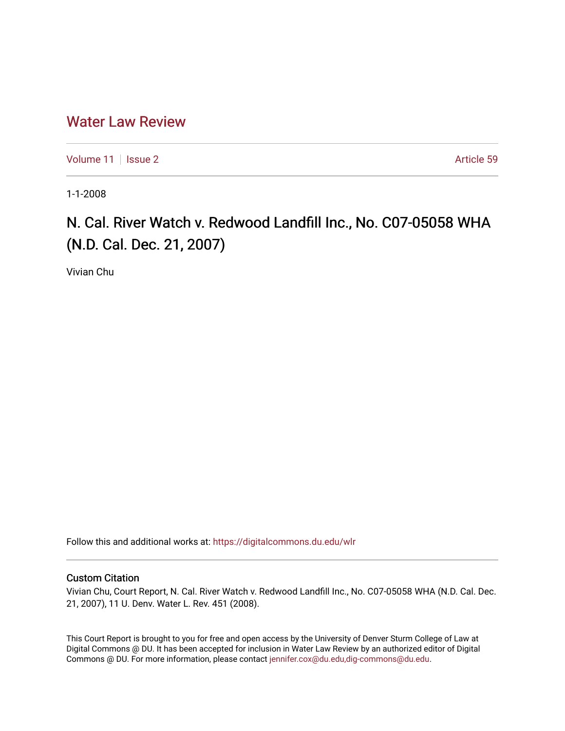# [Water Law Review](https://digitalcommons.du.edu/wlr)

[Volume 11](https://digitalcommons.du.edu/wlr/vol11) | [Issue 2](https://digitalcommons.du.edu/wlr/vol11/iss2) Article 59

1-1-2008

# N. Cal. River Watch v. Redwood Landfill Inc., No. C07-05058 WHA (N.D. Cal. Dec. 21, 2007)

Vivian Chu

Follow this and additional works at: [https://digitalcommons.du.edu/wlr](https://digitalcommons.du.edu/wlr?utm_source=digitalcommons.du.edu%2Fwlr%2Fvol11%2Fiss2%2F59&utm_medium=PDF&utm_campaign=PDFCoverPages) 

## Custom Citation

Vivian Chu, Court Report, N. Cal. River Watch v. Redwood Landfill Inc., No. C07-05058 WHA (N.D. Cal. Dec. 21, 2007), 11 U. Denv. Water L. Rev. 451 (2008).

This Court Report is brought to you for free and open access by the University of Denver Sturm College of Law at Digital Commons @ DU. It has been accepted for inclusion in Water Law Review by an authorized editor of Digital Commons @ DU. For more information, please contact [jennifer.cox@du.edu,dig-commons@du.edu.](mailto:jennifer.cox@du.edu,dig-commons@du.edu)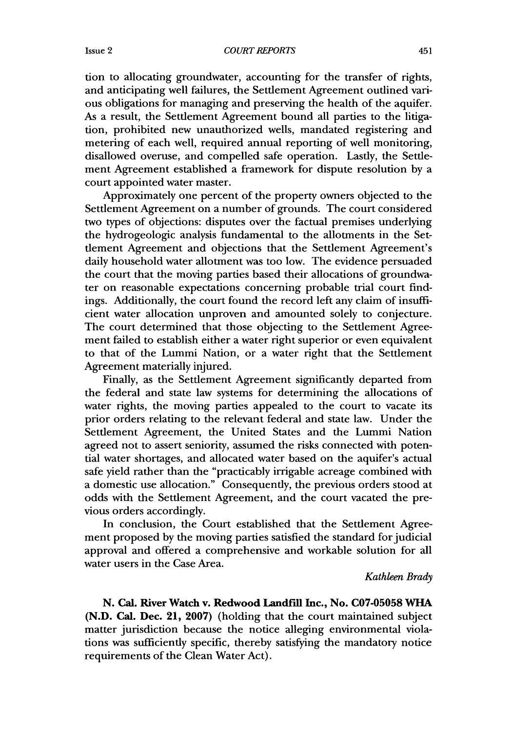Issue 2

tion to allocating groundwater, accounting for the transfer of rights, and anticipating well failures, the Settlement Agreement outlined various obligations for managing and preserving the health of the aquifer. As a result, the Settlement Agreement bound all parties to the litigation, prohibited new unauthorized wells, mandated registering and metering of each well, required annual reporting of well monitoring, disallowed overuse, and compelled safe operation. Lastly, the Settlement Agreement established a framework for dispute resolution by a court appointed water master.

Approximately one percent of the property owners objected to the Settlement Agreement on a number of grounds. The court considered two types of objections: disputes over the factual premises underlying the hydrogeologic analysis fundamental to the allotments in the Settlement Agreement and objections that the Settlement Agreement's daily household water allotment was too low. The evidence persuaded the court that the moving parties based their allocations of groundwater on reasonable expectations concerning probable trial court findings. Additionally, the court found the record left any claim of insufficient water allocation unproven and amounted solely to conjecture. The court determined that those objecting to the Settlement Agreement failed to establish either a water right superior or even equivalent to that of the Lummi Nation, or a water right that the Settlement Agreement materially injured.

Finally, as the Settlement Agreement significantly departed from the federal and state law systems for determining the allocations of water rights, the moving parties appealed to the court to vacate its prior orders relating to the relevant federal and state law. Under the Settlement Agreement, the United States and the Lummi Nation agreed not to assert seniority, assumed the risks connected with potential water shortages, and allocated water based on the aquifer's actual safe yield rather than the "practicably irrigable acreage combined with a domestic use allocation." Consequently, the previous orders stood at odds with the Settlement Agreement, and the court vacated the previous orders accordingly.

In conclusion, the Court established that the Settlement Agreement proposed by the moving parties satisfied the standard for judicial approval and offered a comprehensive and workable solution for all water users in the Case Area.

*Kathleen Brady*

**N.** Cal. River Watch v. Redwood **Landfill Inc., No. C07-05058 WHA (N.D.** Cal. Dec. 21, **2007)** (holding that the court maintained subject matter jurisdiction because the notice alleging environmental violations was sufficiently specific, thereby satisfying the mandatory notice requirements of the Clean Water Act).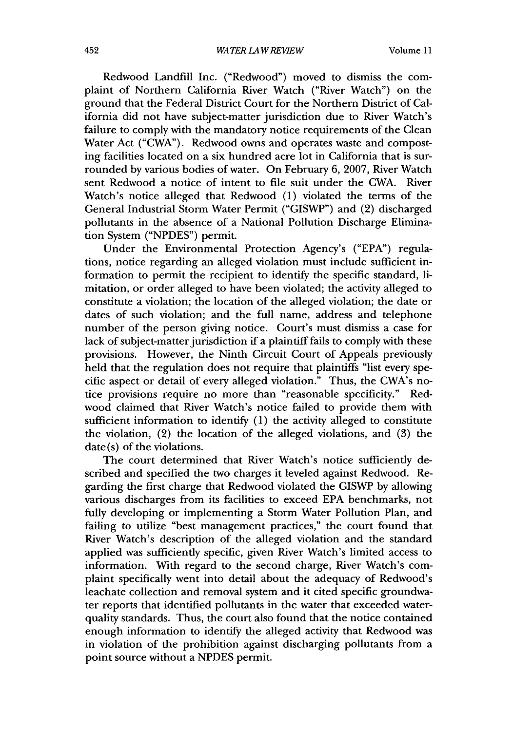Redwood Landfill Inc. ("Redwood") moved to dismiss the complaint of Northern California River Watch ("River Watch") on the ground that the Federal District Court for the Northern District of California did not have subject-matter jurisdiction due to River Watch's failure to comply with the mandatory notice requirements of the Clean Water Act ("CWA"). Redwood owns and operates waste and composting facilities located on a six hundred acre lot in California that is surrounded by various bodies of water. On February 6, 2007, River Watch sent Redwood a notice of intent to file suit under the CWA. River Watch's notice alleged that Redwood (1) violated the terms of the General Industrial Storm Water Permit ("GISWP") and (2) discharged pollutants in the absence of a National Pollution Discharge Elimination System ("NPDES") permit.

Under the Environmental Protection Agency's ("EPA") regulations, notice regarding an alleged violation must include sufficient information to permit the recipient to identify the specific standard, limitation, or order alleged to have been violated; the activity alleged to constitute a violation; the location of the alleged violation; the date or dates of such violation; and the full name, address and telephone number of the person giving notice. Court's must dismiss a case for lack of subject-matter jurisdiction if a plaintiff fails to comply with these provisions. However, the Ninth Circuit Court of Appeals previously held that the regulation does not require that plaintiffs "list every specific aspect or detail of every alleged violation." Thus, the CWA's notice provisions require no more than "reasonable specificity." Redwood claimed that River Watch's notice failed to provide them with sufficient information to identify (1) the activity alleged to constitute the violation, (2) the location of the alleged violations, and (3) the date(s) of the violations.

The court determined that River Watch's notice sufficiently described and specified the two charges it leveled against Redwood. Regarding the first charge that Redwood violated the GISWP by allowing various discharges from its facilities to exceed EPA benchmarks, not fully developing or implementing a Storm Water Pollution Plan, and failing to utilize "best management practices," the court found that River Watch's description of the alleged violation and the standard applied was sufficiently specific, given River Watch's limited access to information. With regard to the second charge, River Watch's complaint specifically went into detail about the adequacy of Redwood's leachate collection and removal system and it cited specific groundwater reports that identified pollutants in the water that exceeded waterquality standards. Thus, the court also found that the notice contained enough information to identify the alleged activity that Redwood was in violation of the prohibition against discharging pollutants from a point source without a NPDES permit.